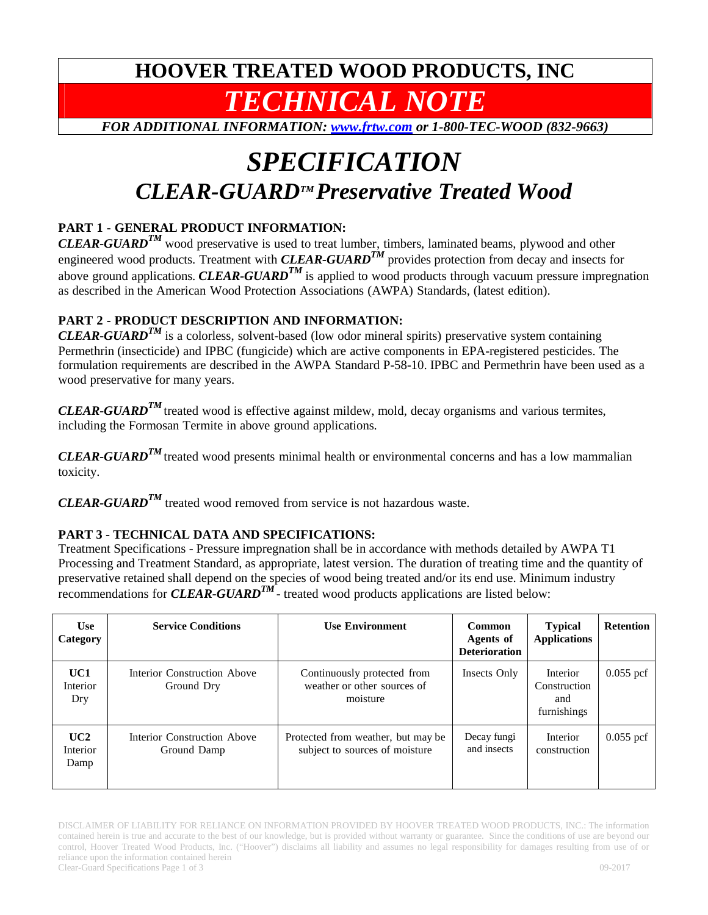# **HOOVER TREATED WOOD PRODUCTS, INC**  *TECHNICAL NOTE*

*FOR ADDITIONAL INFORMATION: www.frtw.com or 1-800-TEC-WOOD (832-9663)* 

# *SPECIFICATION CLEAR-GUARDTM Preservative Treated Wood*

## **PART 1 - GENERAL PRODUCT INFORMATION:**

*CLEAR-GUARD<sup>TM</sup>* wood preservative is used to treat lumber, timbers, laminated beams, plywood and other engineered wood products. Treatment with *CLEAR-GUARD<sup>TM</sup>* provides protection from decay and insects for above ground applications. *CLEAR-GUARD*<sup>*TM*</sup> is applied to wood products through vacuum pressure impregnation as described in the American Wood Protection Associations (AWPA) Standards, (latest edition).

## **PART 2 - PRODUCT DESCRIPTION AND INFORMATION:**

*CLEAR-GUARDTM* is a colorless, solvent-based (low odor mineral spirits) preservative system containing Permethrin (insecticide) and IPBC (fungicide) which are active components in EPA-registered pesticides. The formulation requirements are described in the AWPA Standard P-58-10. IPBC and Permethrin have been used as a wood preservative for many years.

*CLEAR-GUARD<sup>TM</sup>* treated wood is effective against mildew, mold, decay organisms and various termites, including the Formosan Termite in above ground applications.

*CLEAR-GUARD<sup>TM</sup>* treated wood presents minimal health or environmental concerns and has a low mammalian toxicity.

*CLEAR-GUARDTM* treated wood removed from service is not hazardous waste.

### **PART 3 - TECHNICAL DATA AND SPECIFICATIONS:**

Treatment Specifications - Pressure impregnation shall be in accordance with methods detailed by AWPA T1 Processing and Treatment Standard, as appropriate, latest version. The duration of treating time and the quantity of preservative retained shall depend on the species of wood being treated and/or its end use. Minimum industry recommendations for *CLEAR-GUARD<sup>TM</sup>* - treated wood products applications are listed below:

| <b>Use</b><br>Category  | <b>Service Conditions</b>                  | <b>Use Environment</b>                                                 | <b>Common</b><br>Agents of<br><b>Deterioration</b> | <b>Typical</b><br><b>Applications</b>          | <b>Retention</b> |
|-------------------------|--------------------------------------------|------------------------------------------------------------------------|----------------------------------------------------|------------------------------------------------|------------------|
| UC1<br>Interior<br>Dry  | Interior Construction Above<br>Ground Dry  | Continuously protected from<br>weather or other sources of<br>moisture | Insects Only                                       | Interior<br>Construction<br>and<br>furnishings | $0.055$ pcf      |
| UC2<br>Interior<br>Damp | Interior Construction Above<br>Ground Damp | Protected from weather, but may be<br>subject to sources of moisture   | Decay fungi<br>and insects                         | Interior<br>construction                       | $0.055$ pcf      |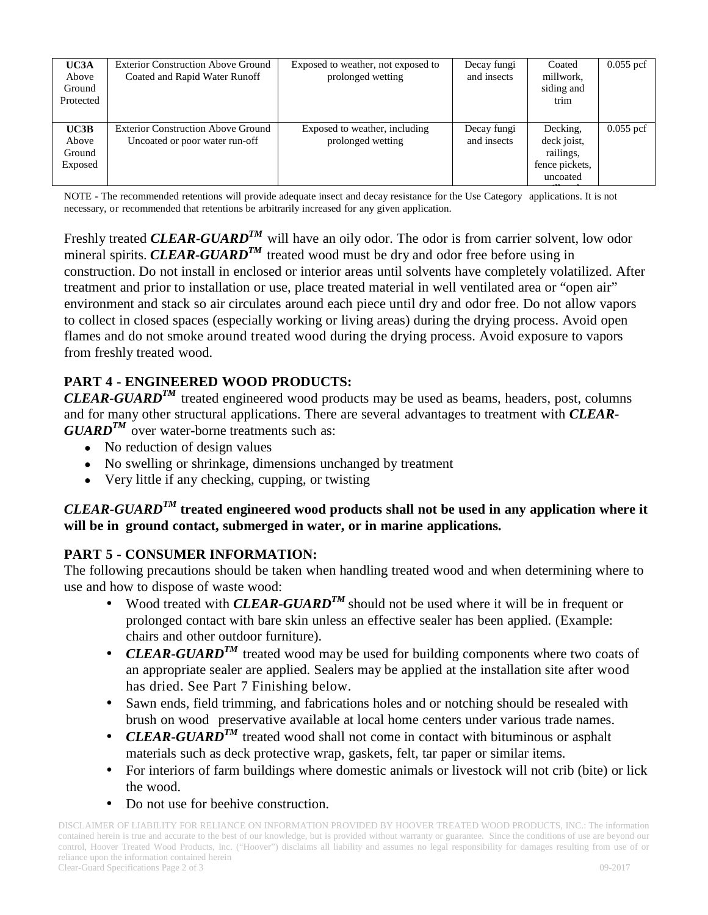| UC3A<br>Above<br>Ground<br>Protected | <b>Exterior Construction Above Ground</b><br>Coated and Rapid Water Runoff  | Exposed to weather, not exposed to<br>prolonged wetting | Decay fungi<br>and insects | Coated<br>millwork,<br>siding and<br>trim                          | $0.055$ pcf |
|--------------------------------------|-----------------------------------------------------------------------------|---------------------------------------------------------|----------------------------|--------------------------------------------------------------------|-------------|
| UC3B<br>Above<br>Ground<br>Exposed   | <b>Exterior Construction Above Ground</b><br>Uncoated or poor water run-off | Exposed to weather, including<br>prolonged wetting      | Decay fungi<br>and insects | Decking,<br>deck joist,<br>railings,<br>fence pickets,<br>uncoated | $0.055$ pcf |

NOTE - The recommended retentions will provide adequate insect and decay resistance for the Use Category applications. It is not necessary, or recommended that retentions be arbitrarily increased for any given application.

Freshly treated *CLEAR-GUARD<sup>TM</sup>* will have an oily odor. The odor is from carrier solvent, low odor mineral spirits. *CLEAR-GUARD*<sup>*TM*</sup> treated wood must be dry and odor free before using in construction. Do not install in enclosed or interior areas until solvents have completely volatilized. After treatment and prior to installation or use, place treated material in well ventilated area or "open air" environment and stack so air circulates around each piece until dry and odor free. Do not allow vapors to collect in closed spaces (especially working or living areas) during the drying process. Avoid open flames and do not smoke around treated wood during the drying process. Avoid exposure to vapors from freshly treated wood.

## **PART 4 - ENGINEERED WOOD PRODUCTS:**

*CLEAR-GUARDTM* treated engineered wood products may be used as beams, headers, post, columns and for many other structural applications. There are several advantages to treatment with *CLEAR-* $GUARD^{TM}$  over water-borne treatments such as:

- No reduction of design values
- No swelling or shrinkage, dimensions unchanged by treatment
- Very little if any checking, cupping, or twisting

### *CLEAR-GUARDTM* **treated engineered wood products shall not be used in any application where it will be in ground contact, submerged in water, or in marine applications.**

### **PART 5 - CONSUMER INFORMATION:**

The following precautions should be taken when handling treated wood and when determining where to use and how to dispose of waste wood:

- Wood treated with *CLEAR-GUARD<sup>TM</sup>* should not be used where it will be in frequent or prolonged contact with bare skin unless an effective sealer has been applied. (Example: chairs and other outdoor furniture).
- *CLEAR-GUARD<sup>TM</sup>* treated wood may be used for building components where two coats of an appropriate sealer are applied. Sealers may be applied at the installation site after wood has dried. See Part 7 Finishing below.
- Sawn ends, field trimming, and fabrications holes and or notching should be resealed with brush on wood preservative available at local home centers under various trade names.
- *CLEAR-GUARD<sup>TM</sup>* treated wood shall not come in contact with bituminous or asphalt materials such as deck protective wrap, gaskets, felt, tar paper or similar items.
- For interiors of farm buildings where domestic animals or livestock will not crib (bite) or lick the wood.
- Do not use for beehive construction.

DISCLAIMER OF LIABILITY FOR RELIANCE ON INFORMATION PROVIDED BY HOOVER TREATED WOOD PRODUCTS, INC.: The information contained herein is true and accurate to the best of our knowledge, but is provided without warranty or guarantee. Since the conditions of use are beyond our control, Hoover Treated Wood Products, Inc. ("Hoover") disclaims all liability and assumes no legal responsibility for damages resulting from use of or reliance upon the information contained herein Clear-Guard Specifications Page 2 of 3 09-2017